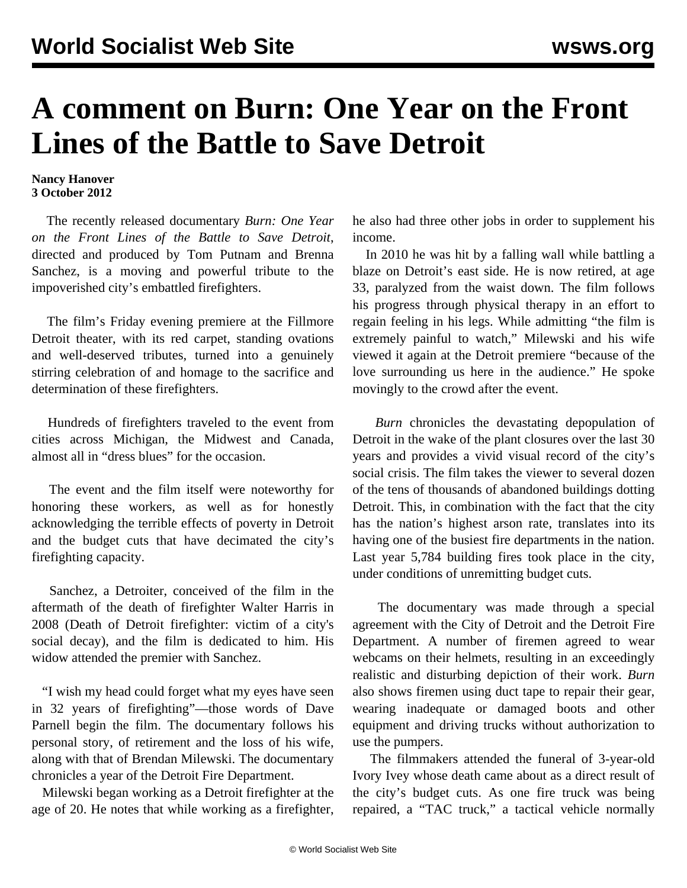## **A comment on Burn: One Year on the Front Lines of the Battle to Save Detroit**

## **Nancy Hanover 3 October 2012**

 The recently released documentary *Burn: One Year on the Front Lines of the Battle to Save Detroit*, directed and produced by Tom Putnam and Brenna Sanchez, is a moving and powerful tribute to the impoverished city's embattled firefighters.

 The film's Friday evening premiere at the Fillmore Detroit theater, with its red carpet, standing ovations and well-deserved tributes, turned into a genuinely stirring celebration of and homage to the sacrifice and determination of these firefighters.

 Hundreds of firefighters traveled to the event from cities across Michigan, the Midwest and Canada, almost all in "dress blues" for the occasion.

 The event and the film itself were noteworthy for honoring these workers, as well as for honestly acknowledging the terrible effects of poverty in Detroit and the budget cuts that have decimated the city's firefighting capacity.

 Sanchez, a Detroiter, conceived of the film in the aftermath of the death of firefighter Walter Harris in 2008 [\(Death of Detroit firefighter: victim of a city's](/en/articles/2008/nov2008/fire-n25.shtml) [social decay](/en/articles/2008/nov2008/fire-n25.shtml)), and the film is dedicated to him. His widow attended the premier with Sanchez.

 "I wish my head could forget what my eyes have seen in 32 years of firefighting"—those words of Dave Parnell begin the film. The documentary follows his personal story, of retirement and the loss of his wife, along with that of Brendan Milewski. The documentary chronicles a year of the Detroit Fire Department.

 Milewski began working as a Detroit firefighter at the age of 20. He notes that while working as a firefighter,

he also had three other jobs in order to supplement his income.

 In 2010 he was hit by a falling wall while battling a blaze on Detroit's east side. He is now retired, at age 33, paralyzed from the waist down. The film follows his progress through physical therapy in an effort to regain feeling in his legs. While admitting "the film is extremely painful to watch," Milewski and his wife viewed it again at the Detroit premiere "because of the love surrounding us here in the audience." He spoke movingly to the crowd after the event.

 *Burn* chronicles the devastating depopulation of Detroit in the wake of the plant closures over the last 30 years and provides a vivid visual record of the city's social crisis. The film takes the viewer to several dozen of the tens of thousands of abandoned buildings dotting Detroit. This, in combination with the fact that the city has the nation's highest arson rate, translates into its having one of the busiest fire departments in the nation. Last year 5,784 building fires took place in the city, under conditions of unremitting budget cuts.

 The documentary was made through a special agreement with the City of Detroit and the Detroit Fire Department. A number of firemen agreed to wear webcams on their helmets, resulting in an exceedingly realistic and disturbing depiction of their work. *Burn* also shows firemen using duct tape to repair their gear, wearing inadequate or damaged boots and other equipment and driving trucks without authorization to use the pumpers.

 The filmmakers attended the funeral of 3-year-old Ivory Ivey whose death came about as a direct result of the city's budget cuts. As one fire truck was being repaired, a "TAC truck," a tactical vehicle normally